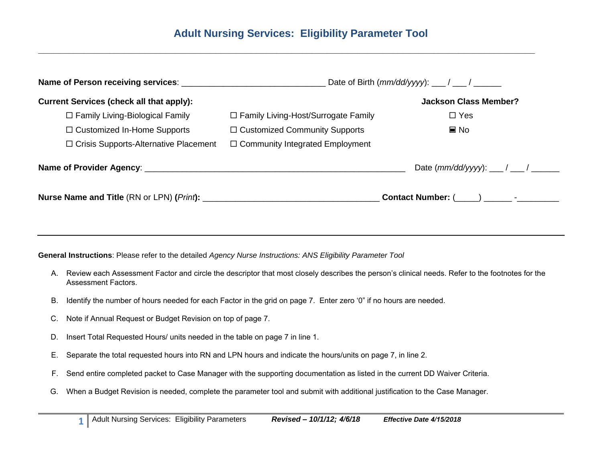**\_\_\_\_\_\_\_\_\_\_\_\_\_\_\_\_\_\_\_\_\_\_\_\_\_\_\_\_\_\_\_\_\_\_\_\_\_\_\_\_\_\_\_\_\_\_\_\_\_\_\_\_\_\_\_\_\_\_\_\_\_\_\_\_\_\_\_\_\_\_\_\_\_\_\_\_\_\_\_\_\_\_\_\_\_\_\_\_\_\_\_\_\_\_\_\_\_\_**

|                                                 | Date of Birth $(mm/dd/yyy)$ : ___/ ___/ _____ |                                           |  |
|-------------------------------------------------|-----------------------------------------------|-------------------------------------------|--|
| <b>Current Services (check all that apply):</b> |                                               | <b>Jackson Class Member?</b>              |  |
| $\Box$ Family Living-Biological Family          | □ Family Living-Host/Surrogate Family         | $\Box$ Yes                                |  |
| $\Box$ Customized In-Home Supports              | $\Box$ Customized Community Supports          | $\blacksquare$ No                         |  |
| $\Box$ Crisis Supports-Alternative Placement    | $\Box$ Community Integrated Employment        |                                           |  |
|                                                 |                                               |                                           |  |
|                                                 |                                               | Contact Number: (____) ______- -_________ |  |
|                                                 |                                               |                                           |  |

**General Instructions**: Please refer to the detailed *Agency Nurse Instructions: ANS Eligibility Parameter Tool*

- A. Review each Assessment Factor and circle the descriptor that most closely describes the person's clinical needs. Refer to the footnotes for the Assessment Factors.
- B. Identify the number of hours needed for each Factor in the grid on page 7. Enter zero '0" if no hours are needed.
- C. Note if Annual Request or Budget Revision on top of page 7.
- D. Insert Total Requested Hours/ units needed in the table on page 7 in line 1.
- E. Separate the total requested hours into RN and LPN hours and indicate the hours/units on page 7, in line 2.
- F. Send entire completed packet to Case Manager with the supporting documentation as listed in the current DD Waiver Criteria.
- G. When a Budget Revision is needed, complete the parameter tool and submit with additional justification to the Case Manager.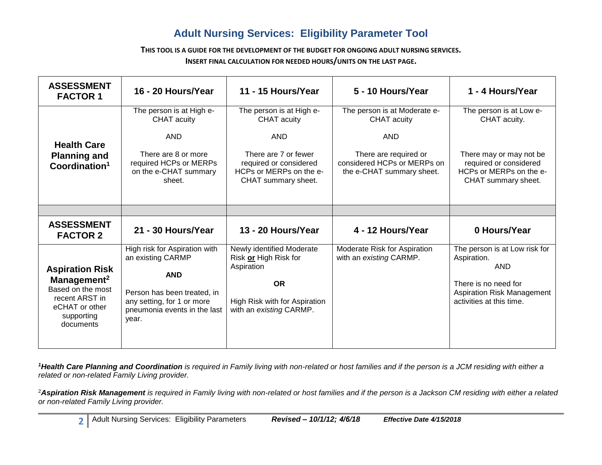**THIS TOOL IS A GUIDE FOR THE DEVELOPMENT OF THE BUDGET FOR ONGOING ADULT NURSING SERVICES. INSERT FINAL CALCULATION FOR NEEDED HOURS/UNITS ON THE LAST PAGE.**

| <b>ASSESSMENT</b><br><b>FACTOR 1</b>                                                                                                  | 16 - 20 Hours/Year                                                                                                                                                     | 11 - 15 Hours/Year                                                                                                                                        | 5 - 10 Hours/Year                                                                                                                                     | 1 - 4 Hours/Year                                                                                                                               |
|---------------------------------------------------------------------------------------------------------------------------------------|------------------------------------------------------------------------------------------------------------------------------------------------------------------------|-----------------------------------------------------------------------------------------------------------------------------------------------------------|-------------------------------------------------------------------------------------------------------------------------------------------------------|------------------------------------------------------------------------------------------------------------------------------------------------|
| <b>Health Care</b><br><b>Planning and</b><br>Coordination <sup>1</sup>                                                                | The person is at High e-<br>CHAT acuity<br><b>AND</b><br>There are 8 or more<br>required HCPs or MERPs<br>on the e-CHAT summary<br>sheet.                              | The person is at High e-<br>CHAT acuity<br><b>AND</b><br>There are 7 or fewer<br>required or considered<br>HCPs or MERPs on the e-<br>CHAT summary sheet. | The person is at Moderate e-<br><b>CHAT</b> acuity<br><b>AND</b><br>There are required or<br>considered HCPs or MERPs on<br>the e-CHAT summary sheet. | The person is at Low e-<br>CHAT acuity.<br>There may or may not be<br>required or considered<br>HCPs or MERPs on the e-<br>CHAT summary sheet. |
|                                                                                                                                       |                                                                                                                                                                        |                                                                                                                                                           |                                                                                                                                                       |                                                                                                                                                |
| <b>ASSESSMENT</b><br><b>FACTOR 2</b>                                                                                                  | 21 - 30 Hours/Year                                                                                                                                                     | 13 - 20 Hours/Year                                                                                                                                        | 4 - 12 Hours/Year                                                                                                                                     | 0 Hours/Year                                                                                                                                   |
| <b>Aspiration Risk</b><br>Management <sup>2</sup><br>Based on the most<br>recent ARST in<br>eCHAT or other<br>supporting<br>documents | High risk for Aspiration with<br>an existing CARMP<br><b>AND</b><br>Person has been treated, in<br>any setting, for 1 or more<br>pneumonia events in the last<br>year. | Newly identified Moderate<br>Risk or High Risk for<br>Aspiration<br><b>OR</b><br>High Risk with for Aspiration<br>with an existing CARMP.                 | Moderate Risk for Aspiration<br>with an existing CARMP.                                                                                               | The person is at Low risk for<br>Aspiration.<br><b>AND</b><br>There is no need for<br>Aspiration Risk Management<br>activities at this time.   |

*<sup>1</sup>Health Care Planning and Coordination is required in Family living with non-related or host families and if the person is a JCM residing with either a related or non-related Family Living provider.*

<sup>2</sup>*Aspiration Risk Management is required in Family living with non-related or host families and if the person is a Jackson CM residing with either a related or non-related Family Living provider.*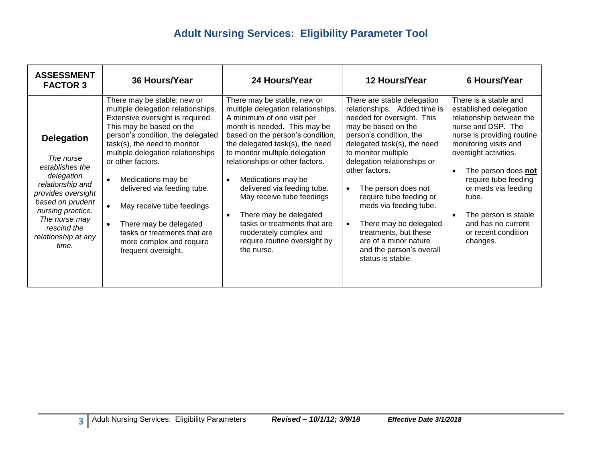| <b>ASSESSMENT</b><br><b>FACTOR 3</b>                                                                                                                                                                               | 36 Hours/Year                                                                                                                                                                                                                                                                                                                                                                                                                                                                | 24 Hours/Year                                                                                                                                                                                                                                                                                                                                                                                                                                                                                   | 12 Hours/Year                                                                                                                                                                                                                                                                                                                                                                                                                                                                         | 6 Hours/Year                                                                                                                                                                                                                                                                                                                                                                |
|--------------------------------------------------------------------------------------------------------------------------------------------------------------------------------------------------------------------|------------------------------------------------------------------------------------------------------------------------------------------------------------------------------------------------------------------------------------------------------------------------------------------------------------------------------------------------------------------------------------------------------------------------------------------------------------------------------|-------------------------------------------------------------------------------------------------------------------------------------------------------------------------------------------------------------------------------------------------------------------------------------------------------------------------------------------------------------------------------------------------------------------------------------------------------------------------------------------------|---------------------------------------------------------------------------------------------------------------------------------------------------------------------------------------------------------------------------------------------------------------------------------------------------------------------------------------------------------------------------------------------------------------------------------------------------------------------------------------|-----------------------------------------------------------------------------------------------------------------------------------------------------------------------------------------------------------------------------------------------------------------------------------------------------------------------------------------------------------------------------|
| <b>Delegation</b><br>The nurse<br>establishes the<br>delegation<br>relationship and<br>provides oversight<br>based on prudent<br>nursing practice.<br>The nurse may<br>rescind the<br>relationship at any<br>time. | There may be stable; new or<br>multiple delegation relationships.<br>Extensive oversight is required.<br>This may be based on the<br>person's condition, the delegated<br>task(s), the need to monitor<br>multiple delegation relationships<br>or other factors.<br>Medications may be<br>$\bullet$<br>delivered via feeding tube.<br>May receive tube feedings<br>There may be delegated<br>tasks or treatments that are<br>more complex and require<br>frequent oversight. | There may be stable, new or<br>multiple delegation relationships.<br>A minimum of one visit per<br>month is needed. This may be<br>based on the person's condition,<br>the delegated task(s), the need<br>to monitor multiple delegation<br>relationships or other factors.<br>Medications may be<br>delivered via feeding tube.<br>May receive tube feedings<br>There may be delegated<br>tasks or treatments that are<br>moderately complex and<br>require routine oversight by<br>the nurse. | There are stable delegation<br>relationships. Added time is<br>needed for oversight. This<br>may be based on the<br>person's condition, the<br>delegated task(s), the need<br>to monitor multiple<br>delegation relationships or<br>other factors.<br>The person does not<br>$\bullet$<br>require tube feeding or<br>meds via feeding tube.<br>There may be delegated<br>$\bullet$<br>treatments, but these<br>are of a minor nature<br>and the person's overall<br>status is stable. | There is a stable and<br>established delegation<br>relationship between the<br>nurse and DSP. The<br>nurse is providing routine<br>monitoring visits and<br>oversight activities.<br>The person does not<br>$\bullet$<br>require tube feeding<br>or meds via feeding<br>tube.<br>The person is stable<br>$\bullet$<br>and has no current<br>or recent condition<br>changes. |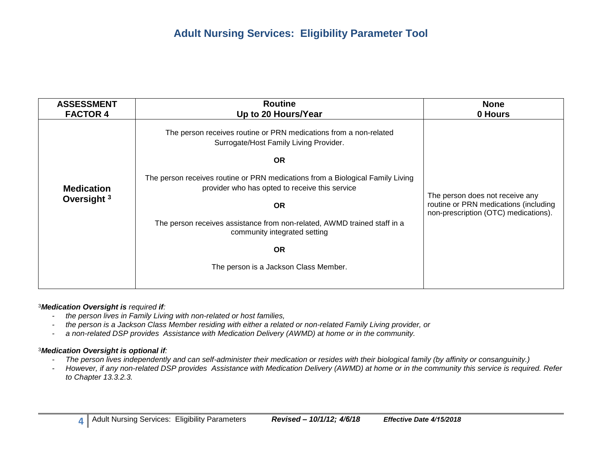| The person receives routine or PRN medications from a non-related                                                                                                                                                                                                                                                                                                           | <b>ASSESSMENT</b> | <b>None</b>                                                                                                      | <b>Routine</b>      |
|-----------------------------------------------------------------------------------------------------------------------------------------------------------------------------------------------------------------------------------------------------------------------------------------------------------------------------------------------------------------------------|-------------------|------------------------------------------------------------------------------------------------------------------|---------------------|
| Surrogate/Host Family Living Provider.                                                                                                                                                                                                                                                                                                                                      | <b>FACTOR 4</b>   | 0 Hours                                                                                                          | Up to 20 Hours/Year |
| <b>OR</b><br>The person receives routine or PRN medications from a Biological Family Living<br>provider who has opted to receive this service<br><b>Medication</b><br>Oversight <sup>3</sup><br><b>OR</b><br>The person receives assistance from non-related, AWMD trained staff in a<br>community integrated setting<br><b>OR</b><br>The person is a Jackson Class Member. |                   | The person does not receive any<br>routine or PRN medications (including<br>non-prescription (OTC) medications). |                     |

#### <sup>3</sup>*Medication Oversight is required if:*

- *- the person lives in Family Living with non-related or host families,*
- *- the person is a Jackson Class Member residing with either a related or non-related Family Living provider, or*
- *- a non-related DSP provides Assistance with Medication Delivery (AWMD) at home or in the community.*

#### <sup>3</sup>*Medication Oversight is optional if:*

- *- The person lives independently and can self-administer their medication or resides with their biological family (by affinity or consanguinity.)*
- *- However, if any non-related DSP provides Assistance with Medication Delivery (AWMD) at home or in the community this service is required. Refer to Chapter 13.3.2.3.*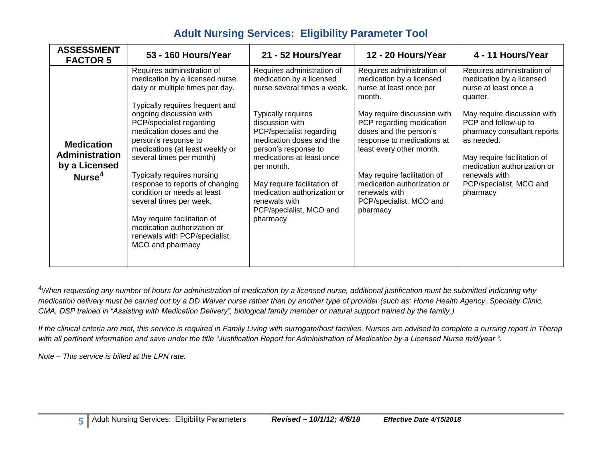| <b>ASSESSMENT</b><br><b>FACTOR 5</b>                                       | 53 - 160 Hours/Year                                                                                                                                                                                                                                                                                                                                                                                                                                                                                                                                         | 21 - 52 Hours/Year                                                                                                                                                                                                                                                                                                                                                                     | 12 - 20 Hours/Year                                                                                                                                                                                                                                                                                                                                               | 4 - 11 Hours/Year                                                                                                                                                                                                                                                                                                     |
|----------------------------------------------------------------------------|-------------------------------------------------------------------------------------------------------------------------------------------------------------------------------------------------------------------------------------------------------------------------------------------------------------------------------------------------------------------------------------------------------------------------------------------------------------------------------------------------------------------------------------------------------------|----------------------------------------------------------------------------------------------------------------------------------------------------------------------------------------------------------------------------------------------------------------------------------------------------------------------------------------------------------------------------------------|------------------------------------------------------------------------------------------------------------------------------------------------------------------------------------------------------------------------------------------------------------------------------------------------------------------------------------------------------------------|-----------------------------------------------------------------------------------------------------------------------------------------------------------------------------------------------------------------------------------------------------------------------------------------------------------------------|
| <b>Medication</b><br>Administration<br>by a Licensed<br>Nurse <sup>4</sup> | Requires administration of<br>medication by a licensed nurse<br>daily or multiple times per day.<br>Typically requires frequent and<br>ongoing discussion with<br>PCP/specialist regarding<br>medication doses and the<br>person's response to<br>medications (at least weekly or<br>several times per month)<br>Typically requires nursing<br>response to reports of changing<br>condition or needs at least<br>several times per week.<br>May require facilitation of<br>medication authorization or<br>renewals with PCP/specialist,<br>MCO and pharmacy | Requires administration of<br>medication by a licensed<br>nurse several times a week.<br><b>Typically requires</b><br>discussion with<br>PCP/specialist regarding<br>medication doses and the<br>person's response to<br>medications at least once<br>per month.<br>May require facilitation of<br>medication authorization or<br>renewals with<br>PCP/specialist, MCO and<br>pharmacy | Requires administration of<br>medication by a licensed<br>nurse at least once per<br>month.<br>May require discussion with<br>PCP regarding medication<br>doses and the person's<br>response to medications at<br>least every other month.<br>May require facilitation of<br>medication authorization or<br>renewals with<br>PCP/specialist, MCO and<br>pharmacy | Requires administration of<br>medication by a licensed<br>nurse at least once a<br>quarter.<br>May require discussion with<br>PCP and follow-up to<br>pharmacy consultant reports<br>as needed.<br>May require facilitation of<br>medication authorization or<br>renewals with<br>PCP/specialist, MCO and<br>pharmacy |

<sup>4</sup>*When requesting any number of hours for administration of medication by a licensed nurse, additional justification must be submitted indicating why medication delivery must be carried out by a DD Waiver nurse rather than by another type of provider (such as: Home Health Agency, Specialty Clinic, CMA, DSP trained in "Assisting with Medication Delivery", biological family member or natural support trained by the family.)* 

*If the clinical criteria are met, this service is required in Family Living with surrogate/host families. Nurses are advised to complete a nursing report in Therap with all pertinent information and save under the title "Justification Report for Administration of Medication by a Licensed Nurse m/d/year ".* 

*Note – This service is billed at the LPN rate.*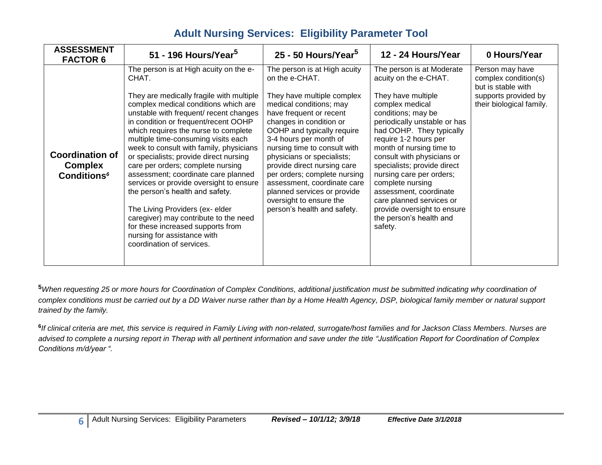| <b>ASSESSMENT</b><br><b>FACTOR 6</b>                                      | 51 - 196 Hours/Year <sup>5</sup>                                                                                                                                                                                                                                                                                                                                                                                                                                                                                                                                                                                                                                                                                                 | 25 - 50 Hours/Year <sup>5</sup>                                                                                                                                                                                                                                                                                                                                                                                                                                            | 12 - 24 Hours/Year                                                                                                                                                                                                                                                                                                                                                                                                                                                         | 0 Hours/Year                                                                                                      |
|---------------------------------------------------------------------------|----------------------------------------------------------------------------------------------------------------------------------------------------------------------------------------------------------------------------------------------------------------------------------------------------------------------------------------------------------------------------------------------------------------------------------------------------------------------------------------------------------------------------------------------------------------------------------------------------------------------------------------------------------------------------------------------------------------------------------|----------------------------------------------------------------------------------------------------------------------------------------------------------------------------------------------------------------------------------------------------------------------------------------------------------------------------------------------------------------------------------------------------------------------------------------------------------------------------|----------------------------------------------------------------------------------------------------------------------------------------------------------------------------------------------------------------------------------------------------------------------------------------------------------------------------------------------------------------------------------------------------------------------------------------------------------------------------|-------------------------------------------------------------------------------------------------------------------|
| <b>Coordination of</b><br><b>Complex</b><br><b>Conditions<sup>6</sup></b> | The person is at High acuity on the e-<br>CHAT.<br>They are medically fragile with multiple<br>complex medical conditions which are<br>unstable with frequent/ recent changes<br>in condition or frequent/recent OOHP<br>which requires the nurse to complete<br>multiple time-consuming visits each<br>week to consult with family, physicians<br>or specialists; provide direct nursing<br>care per orders; complete nursing<br>assessment; coordinate care planned<br>services or provide oversight to ensure<br>the person's health and safety.<br>The Living Providers (ex- elder<br>caregiver) may contribute to the need<br>for these increased supports from<br>nursing for assistance with<br>coordination of services. | The person is at High acuity<br>on the e-CHAT.<br>They have multiple complex<br>medical conditions; may<br>have frequent or recent<br>changes in condition or<br>OOHP and typically require<br>3-4 hours per month of<br>nursing time to consult with<br>physicians or specialists;<br>provide direct nursing care<br>per orders; complete nursing<br>assessment, coordinate care<br>planned services or provide<br>oversight to ensure the<br>person's health and safety. | The person is at Moderate<br>acuity on the e-CHAT.<br>They have multiple<br>complex medical<br>conditions; may be<br>periodically unstable or has<br>had OOHP. They typically<br>require 1-2 hours per<br>month of nursing time to<br>consult with physicians or<br>specialists; provide direct<br>nursing care per orders;<br>complete nursing<br>assessment, coordinate<br>care planned services or<br>provide oversight to ensure<br>the person's health and<br>safety. | Person may have<br>complex condition(s)<br>but is stable with<br>supports provided by<br>their biological family. |

**<sup>5</sup>***When requesting 25 or more hours for Coordination of Complex Conditions, additional justification must be submitted indicating why coordination of complex conditions must be carried out by a DD Waiver nurse rather than by a Home Health Agency, DSP, biological family member or natural support trained by the family.* 

**6** *If clinical criteria are met, this service is required in Family Living with non-related, surrogate/host families and for Jackson Class Members. Nurses are advised to complete a nursing report in Therap with all pertinent information and save under the title "Justification Report for Coordination of Complex Conditions m/d/year ".*